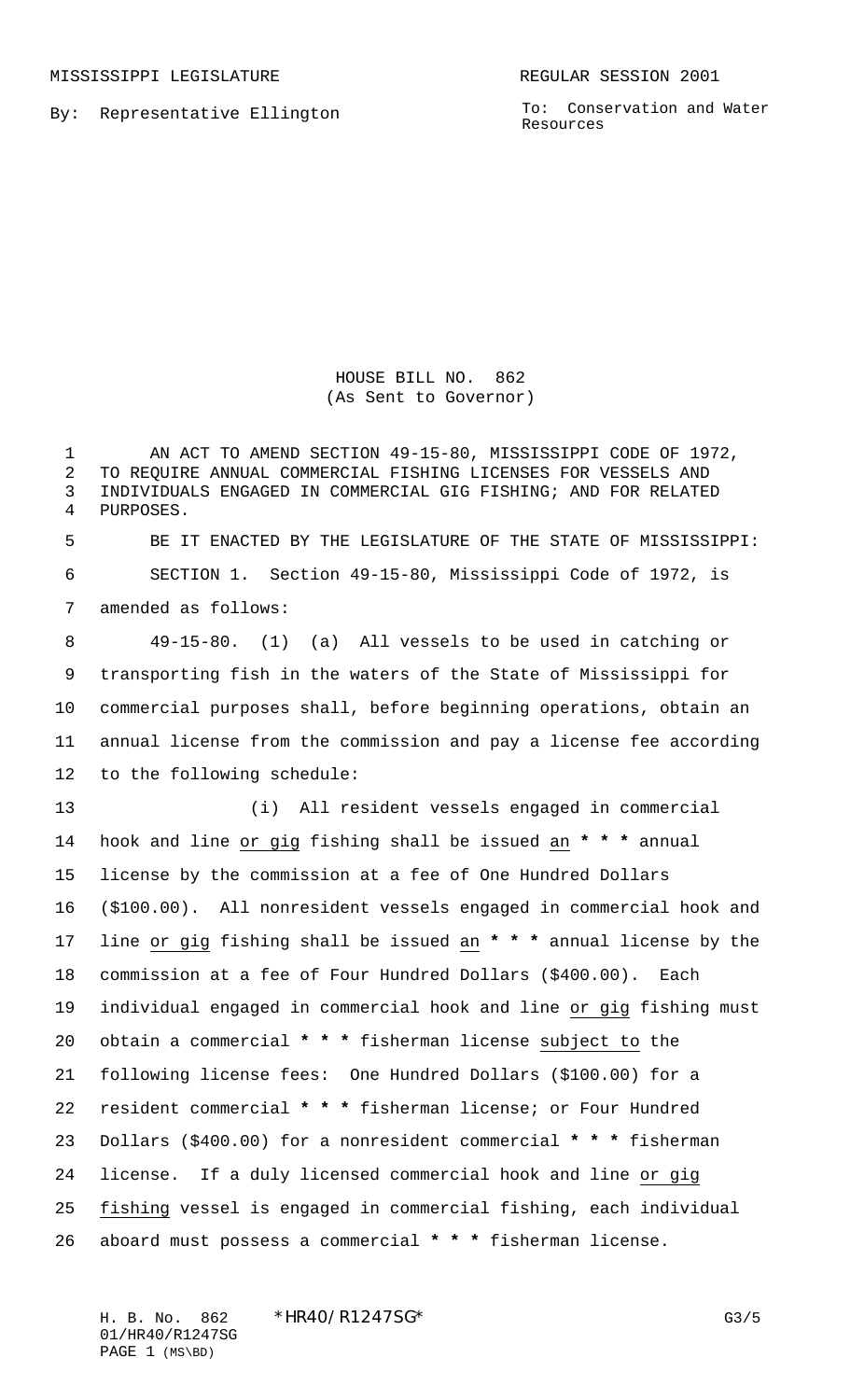MISSISSIPPI LEGISLATURE **REGULAR SESSION 2001** 

By: Representative Ellington

To: Conservation and Water Resources

HOUSE BILL NO. 862 (As Sent to Governor)

1 AN ACT TO AMEND SECTION 49-15-80, MISSISSIPPI CODE OF 1972, TO REQUIRE ANNUAL COMMERCIAL FISHING LICENSES FOR VESSELS AND INDIVIDUALS ENGAGED IN COMMERCIAL GIG FISHING; AND FOR RELATED PURPOSES. BE IT ENACTED BY THE LEGISLATURE OF THE STATE OF MISSISSIPPI: SECTION 1. Section 49-15-80, Mississippi Code of 1972, is amended as follows: 49-15-80. (1) (a) All vessels to be used in catching or transporting fish in the waters of the State of Mississippi for commercial purposes shall, before beginning operations, obtain an annual license from the commission and pay a license fee according to the following schedule: (i) All resident vessels engaged in commercial hook and line or gig fishing shall be issued an **\* \* \*** annual license by the commission at a fee of One Hundred Dollars (\$100.00). All nonresident vessels engaged in commercial hook and line or gig fishing shall be issued an **\* \* \*** annual license by the commission at a fee of Four Hundred Dollars (\$400.00). Each individual engaged in commercial hook and line or gig fishing must obtain a commercial **\* \* \*** fisherman license subject to the following license fees: One Hundred Dollars (\$100.00) for a resident commercial **\* \* \*** fisherman license; or Four Hundred Dollars (\$400.00) for a nonresident commercial **\* \* \*** fisherman license. If a duly licensed commercial hook and line or gig fishing vessel is engaged in commercial fishing, each individual

aboard must possess a commercial **\* \* \*** fisherman license.

H. B. No. 862 \* HR40/R1247SG\* 63/5 01/HR40/R1247SG PAGE 1 (MS\BD)